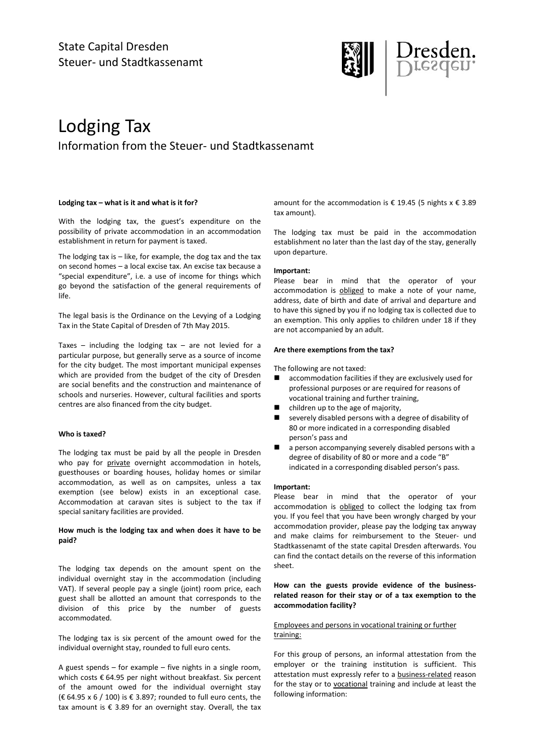

# Lodging Tax Information from the Steuer- und Stadtkassenamt

### Lodging tax – what is it and what is it for?

With the lodging tax, the guest's expenditure on the possibility of private accommodation in an accommodation establishment in return for payment is taxed.

The lodging tax is  $-$  like, for example, the dog tax and the tax on second homes – a local excise tax. An excise tax because a "special expenditure", i.e. a use of income for things which go beyond the satisfaction of the general requirements of life.

The legal basis is the Ordinance on the Levying of a Lodging Tax in the State Capital of Dresden of 7th May 2015.

Taxes – including the lodging tax – are not levied for a particular purpose, but generally serve as a source of income for the city budget. The most important municipal expenses which are provided from the budget of the city of Dresden are social benefits and the construction and maintenance of schools and nurseries. However, cultural facilities and sports centres are also financed from the city budget.

## Who is taxed?

The lodging tax must be paid by all the people in Dresden who pay for private overnight accommodation in hotels, guesthouses or boarding houses, holiday homes or similar accommodation, as well as on campsites, unless a tax exemption (see below) exists in an exceptional case. Accommodation at caravan sites is subject to the tax if special sanitary facilities are provided.

## How much is the lodging tax and when does it have to be paid?

The lodging tax depends on the amount spent on the individual overnight stay in the accommodation (including VAT). If several people pay a single (joint) room price, each guest shall be allotted an amount that corresponds to the division of this price by the number of guests accommodated.

The lodging tax is six percent of the amount owed for the individual overnight stay, rounded to full euro cents.

A guest spends – for example – five nights in a single room, which costs € 64.95 per night without breakfast. Six percent of the amount owed for the individual overnight stay (€ 64.95 x 6 / 100) is € 3.897; rounded to full euro cents, the tax amount is  $\epsilon$  3.89 for an overnight stay. Overall, the tax

amount for the accommodation is  $\epsilon$  19.45 (5 nights x  $\epsilon$  3.89 tax amount).

The lodging tax must be paid in the accommodation establishment no later than the last day of the stay, generally upon departure.

## Important:

Please bear in mind that the operator of your accommodation is obliged to make a note of your name, address, date of birth and date of arrival and departure and to have this signed by you if no lodging tax is collected due to an exemption. This only applies to children under 18 if they are not accompanied by an adult.

### Are there exemptions from the tax?

The following are not taxed:

- accommodation facilities if they are exclusively used for professional purposes or are required for reasons of vocational training and further training,
- children up to the age of majority,
- severely disabled persons with a degree of disability of 80 or more indicated in a corresponding disabled person's pass and
- a person accompanying severely disabled persons with a degree of disability of 80 or more and a code "B" indicated in a corresponding disabled person's pass.

#### Important:

Please bear in mind that the operator of your accommodation is obliged to collect the lodging tax from you. If you feel that you have been wrongly charged by your accommodation provider, please pay the lodging tax anyway and make claims for reimbursement to the Steuer- und Stadtkassenamt of the state capital Dresden afterwards. You can find the contact details on the reverse of this information sheet.

## How can the guests provide evidence of the businessrelated reason for their stay or of a tax exemption to the accommodation facility?

## Employees and persons in vocational training or further training:

For this group of persons, an informal attestation from the employer or the training institution is sufficient. This attestation must expressly refer to a business-related reason for the stay or to vocational training and include at least the following information: